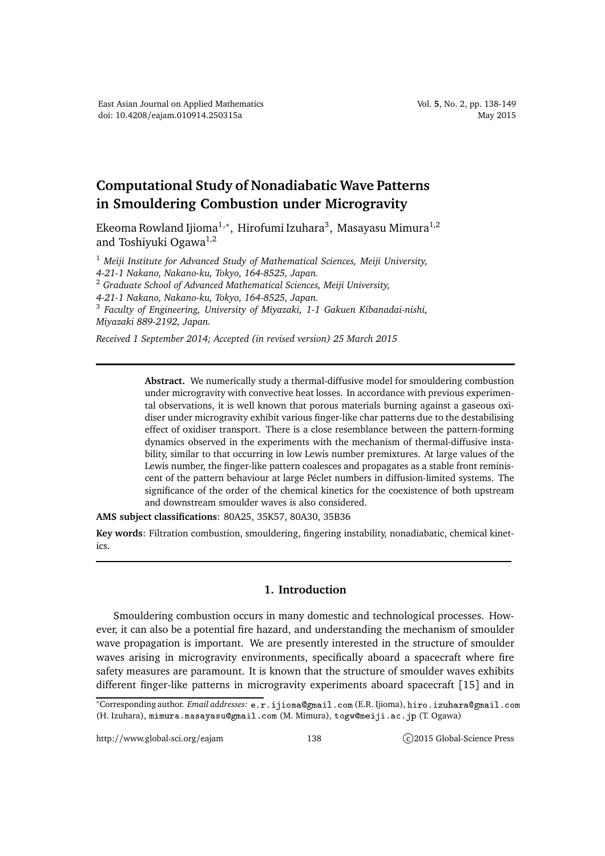## **Computational Study of Nonadiabatic Wave Patterns in Smouldering Combustion under Microgravity**

Ekeoma Rowland Ijioma $^{1,\ast},\,$ Hirofumi Izuhara $^3,\,$  Masayasu Mimura $^{1,2}$ and Toshiyuki Ogawa<sup>1,2</sup>

<sup>1</sup> *Meiji Institute for Advanced Study of Mathematical Sciences, Meiji University, 4-21-1 Nakano, Nakano-ku, Tokyo, 164-8525, Japan.* <sup>2</sup> *Graduate School of Advanced Mathematical Sciences, Meiji University, 4-21-1 Nakano, Nakano-ku, Tokyo, 164-8525, Japan.*

3 *Faculty of Engineering, University of Miyazaki, 1-1 Gakuen Kibanadai-nishi, Miyazaki 889-2192, Japan.*

*Received 1 September 2014; Accepted (in revised version) 25 March 2015*

**Abstract.** We numerically study a thermal-diffusive model for smouldering combustion under microgravity with convective heat losses. In accordance with previous experimental observations, it is well known that porous materials burning against a gaseous oxidiser under microgravity exhibit various finger-like char patterns due to the destabilising effect of oxidiser transport. There is a close resemblance between the pattern-forming dynamics observed in the experiments with the mechanism of thermal-diffusive instability, similar to that occurring in low Lewis number premixtures. At large values of the Lewis number, the finger-like pattern coalesces and propagates as a stable front reminiscent of the pattern behaviour at large Péclet numbers in diffusion-limited systems. The significance of the order of the chemical kinetics for the coexistence of both upstream and downstream smoulder waves is also considered.

**AMS subject classifications**: 80A25, 35K57, 80A30, 35B36

**Key words**: Filtration combustion, smouldering, fingering instability, nonadiabatic, chemical kinetics.

## **1. Introduction**

Smouldering combustion occurs in many domestic and technological processes. However, it can also be a potential fire hazard, and understanding the mechanism of smoulder wave propagation is important. We are presently interested in the structure of smoulder waves arising in microgravity environments, specifically aboard a spacecraft where fire safety measures are paramount. It is known that the structure of smoulder waves exhibits different finger-like patterns in microgravity experiments aboard spacecraft [15] and in

<sup>\*</sup>Corresponding author. *Email addresses*: e.r.ijioma@gmail.com (E.R. Ijioma), hiro.izuhara@gmail.com (H. Izuhara), mimura.masayasu@gmail.com (M. Mimura), togw@meiji.ac.jp (T. Ogawa)